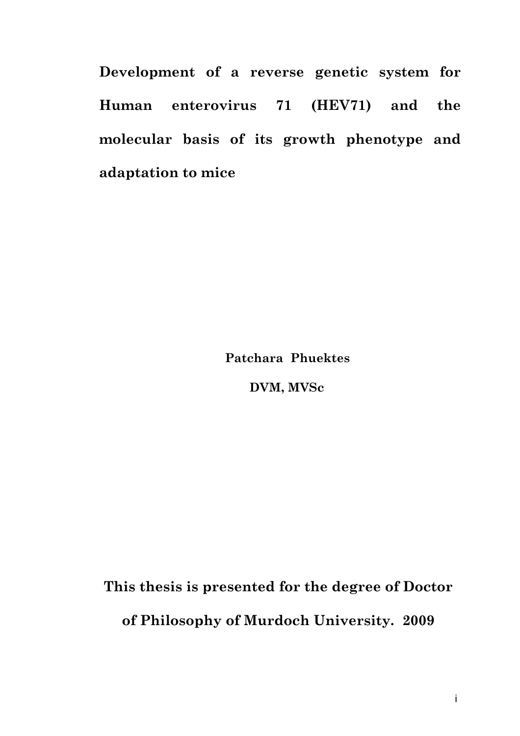**Development of a reverse genetic system for Human enterovirus 71 (HEV71) and the molecular basis of its growth phenotype and adaptation to mice** 

**Patchara Phuektes** 

 **DVM, MVSc** 

**This thesis is presented for the degree of Doctor of Philosophy of Murdoch University. 2009**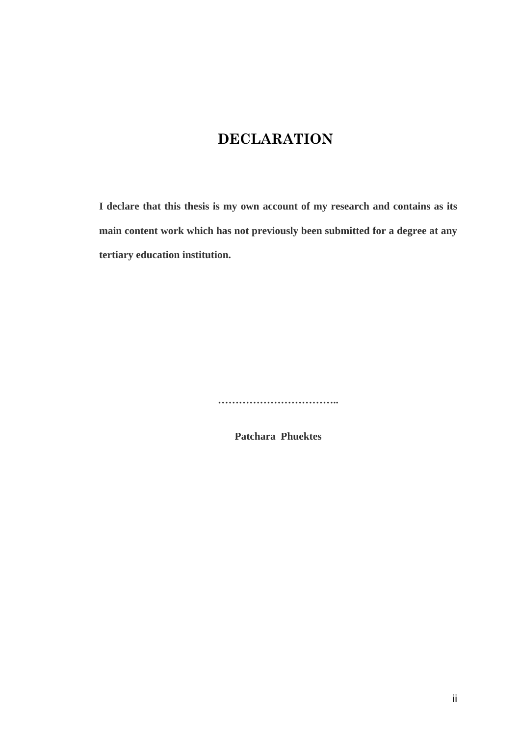## **DECLARATION**

**I declare that this thesis is my own account of my research and contains as its main content work which has not previously been submitted for a degree at any tertiary education institution.** 

**……………………………..** 

**Patchara Phuektes**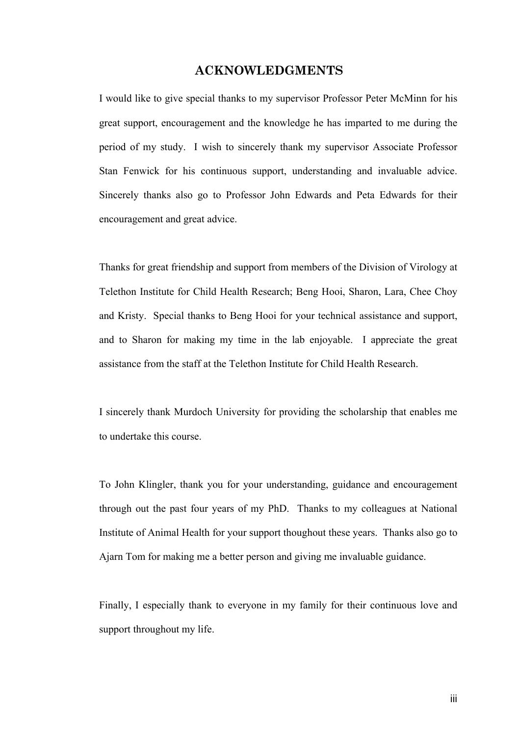#### **ACKNOWLEDGMENTS**

I would like to give special thanks to my supervisor Professor Peter McMinn for his great support, encouragement and the knowledge he has imparted to me during the period of my study. I wish to sincerely thank my supervisor Associate Professor Stan Fenwick for his continuous support, understanding and invaluable advice. Sincerely thanks also go to Professor John Edwards and Peta Edwards for their encouragement and great advice.

Thanks for great friendship and support from members of the Division of Virology at Telethon Institute for Child Health Research; Beng Hooi, Sharon, Lara, Chee Choy and Kristy. Special thanks to Beng Hooi for your technical assistance and support, and to Sharon for making my time in the lab enjoyable. I appreciate the great assistance from the staff at the Telethon Institute for Child Health Research.

I sincerely thank Murdoch University for providing the scholarship that enables me to undertake this course.

To John Klingler, thank you for your understanding, guidance and encouragement through out the past four years of my PhD. Thanks to my colleagues at National Institute of Animal Health for your support thoughout these years. Thanks also go to Ajarn Tom for making me a better person and giving me invaluable guidance.

Finally, I especially thank to everyone in my family for their continuous love and support throughout my life.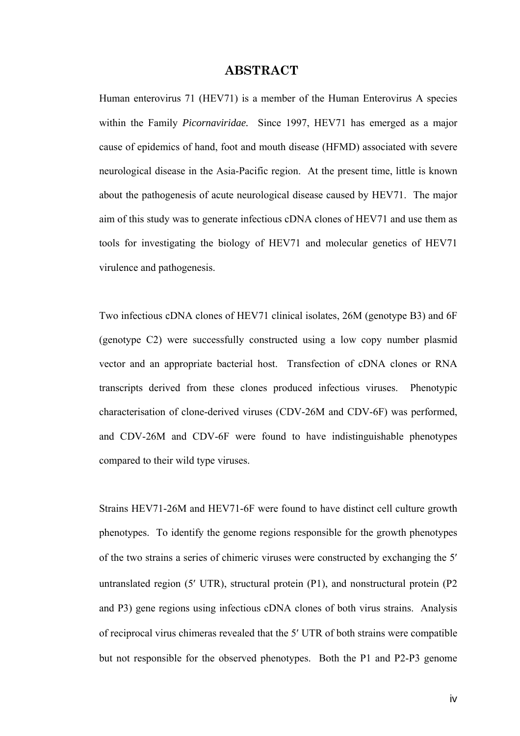#### **ABSTRACT**

Human enterovirus 71 (HEV71) is a member of the Human Enterovirus A species within the Family *Picornaviridae.* Since 1997, HEV71 has emerged as a major cause of epidemics of hand, foot and mouth disease (HFMD) associated with severe neurological disease in the Asia-Pacific region. At the present time, little is known about the pathogenesis of acute neurological disease caused by HEV71. The major aim of this study was to generate infectious cDNA clones of HEV71 and use them as tools for investigating the biology of HEV71 and molecular genetics of HEV71 virulence and pathogenesis.

Two infectious cDNA clones of HEV71 clinical isolates, 26M (genotype B3) and 6F (genotype C2) were successfully constructed using a low copy number plasmid vector and an appropriate bacterial host. Transfection of cDNA clones or RNA transcripts derived from these clones produced infectious viruses. Phenotypic characterisation of clone-derived viruses (CDV-26M and CDV-6F) was performed, and CDV-26M and CDV-6F were found to have indistinguishable phenotypes compared to their wild type viruses.

Strains HEV71-26M and HEV71-6F were found to have distinct cell culture growth phenotypes. To identify the genome regions responsible for the growth phenotypes of the two strains a series of chimeric viruses were constructed by exchanging the 5′ untranslated region (5′ UTR), structural protein (P1), and nonstructural protein (P2 and P3) gene regions using infectious cDNA clones of both virus strains. Analysis of reciprocal virus chimeras revealed that the 5′ UTR of both strains were compatible but not responsible for the observed phenotypes. Both the P1 and P2-P3 genome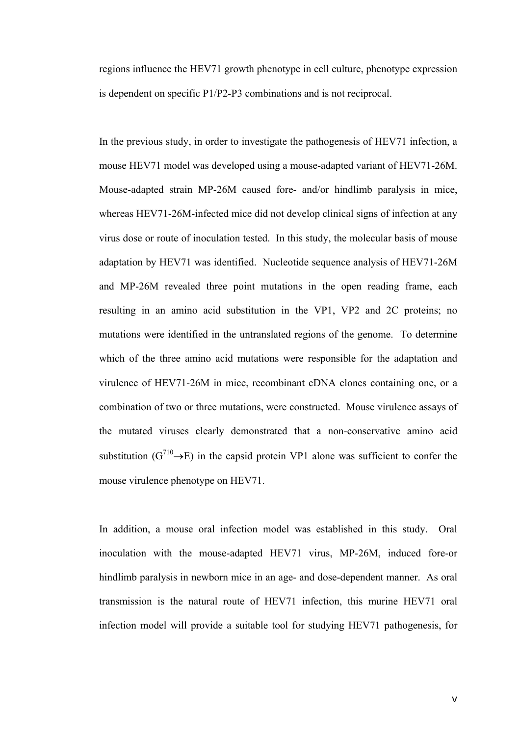regions influence the HEV71 growth phenotype in cell culture, phenotype expression is dependent on specific P1/P2-P3 combinations and is not reciprocal.

In the previous study, in order to investigate the pathogenesis of HEV71 infection, a mouse HEV71 model was developed using a mouse-adapted variant of HEV71-26M. Mouse-adapted strain MP-26M caused fore- and/or hindlimb paralysis in mice, whereas HEV71-26M-infected mice did not develop clinical signs of infection at any virus dose or route of inoculation tested. In this study, the molecular basis of mouse adaptation by HEV71 was identified. Nucleotide sequence analysis of HEV71-26M and MP-26M revealed three point mutations in the open reading frame, each resulting in an amino acid substitution in the VP1, VP2 and 2C proteins; no mutations were identified in the untranslated regions of the genome. To determine which of the three amino acid mutations were responsible for the adaptation and virulence of HEV71-26M in mice, recombinant cDNA clones containing one, or a combination of two or three mutations, were constructed. Mouse virulence assays of the mutated viruses clearly demonstrated that a non-conservative amino acid substitution ( $G^{710} \rightarrow E$ ) in the capsid protein VP1 alone was sufficient to confer the mouse virulence phenotype on HEV71.

In addition, a mouse oral infection model was established in this study. Oral inoculation with the mouse-adapted HEV71 virus, MP-26M, induced fore-or hindlimb paralysis in newborn mice in an age- and dose-dependent manner. As oral transmission is the natural route of HEV71 infection, this murine HEV71 oral infection model will provide a suitable tool for studying HEV71 pathogenesis, for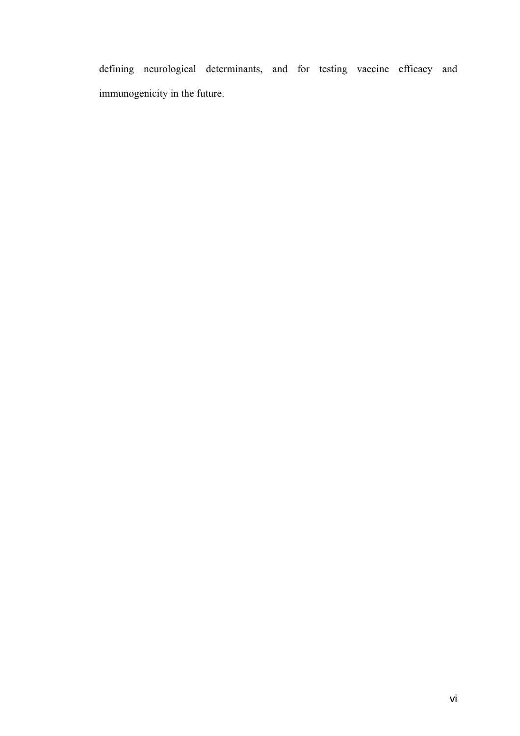defining neurological determinants, and for testing vaccine efficacy and immunogenicity in the future.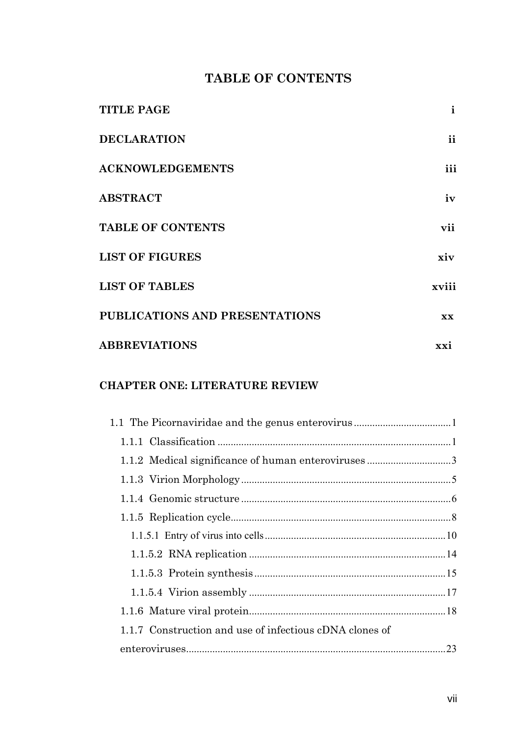## **TABLE OF CONTENTS**

| <b>TITLE PAGE</b>              | $\mathbf{i}$ |
|--------------------------------|--------------|
| <b>DECLARATION</b>             | ii           |
| <b>ACKNOWLEDGEMENTS</b>        | <i>iii</i>   |
| <b>ABSTRACT</b>                | iv           |
| <b>TABLE OF CONTENTS</b>       | vii          |
| <b>LIST OF FIGURES</b>         | xiv          |
| <b>LIST OF TABLES</b>          | xviii        |
| PUBLICATIONS AND PRESENTATIONS | <b>XX</b>    |
| <b>ABBREVIATIONS</b>           | xxi          |

## **CHAPTER ONE: LITERATURE REVIEW**

| 1.1.7 Construction and use of infectious cDNA clones of |  |
|---------------------------------------------------------|--|
|                                                         |  |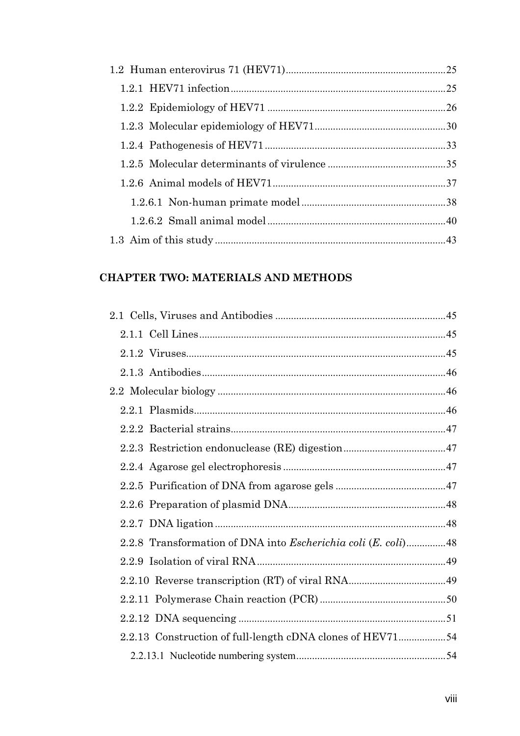## **CHAPTER TWO: MATERIALS AND METHODS**

| 2.2.8 Transformation of DNA into <i>Escherichia coli</i> ( <i>E. coli</i> )48 |  |
|-------------------------------------------------------------------------------|--|
|                                                                               |  |
|                                                                               |  |
|                                                                               |  |
|                                                                               |  |
| 2.2.13 Construction of full-length cDNA clones of HEV7154                     |  |
|                                                                               |  |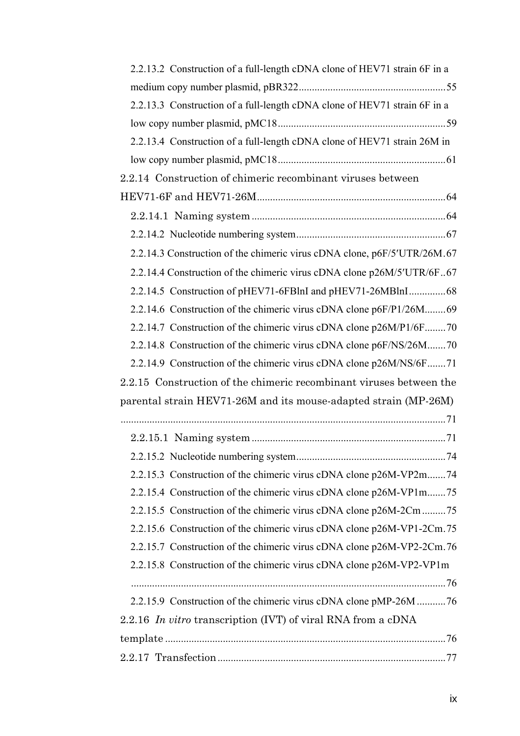| 2.2.13.2 Construction of a full-length cDNA clone of HEV71 strain 6F in a |
|---------------------------------------------------------------------------|
|                                                                           |
| 2.2.13.3 Construction of a full-length cDNA clone of HEV71 strain 6F in a |
|                                                                           |
| 2.2.13.4 Construction of a full-length cDNA clone of HEV71 strain 26M in  |
|                                                                           |
| 2.2.14 Construction of chimeric recombinant viruses between               |
|                                                                           |
|                                                                           |
|                                                                           |
| 2.2.14.3 Construction of the chimeric virus cDNA clone, p6F/5'UTR/26M.67  |
| 2.2.14.4 Construction of the chimeric virus cDNA clone p26M/5'UTR/6F67    |
| 2.2.14.5 Construction of pHEV71-6FBlnI and pHEV71-26MBlnI68               |
| 2.2.14.6 Construction of the chimeric virus cDNA clone p6F/P1/26M69       |
| 2.2.14.7 Construction of the chimeric virus cDNA clone p26M/P1/6F70       |
| 2.2.14.8 Construction of the chimeric virus cDNA clone p6F/NS/26M70       |
| 2.2.14.9 Construction of the chimeric virus cDNA clone p26M/NS/6F71       |
| 2.2.15 Construction of the chimeric recombinant viruses between the       |
| parental strain HEV71-26M and its mouse-adapted strain (MP-26M)           |
|                                                                           |
|                                                                           |
|                                                                           |
| 2.2.15.3 Construction of the chimeric virus cDNA clone p26M-VP2m74        |
| 2.2.15.4 Construction of the chimeric virus cDNA clone p26M-VP1m75        |
| 2.2.15.5 Construction of the chimeric virus cDNA clone p26M-2Cm 75        |
| 2.2.15.6 Construction of the chimeric virus cDNA clone p26M-VP1-2Cm.75    |
| 2.2.15.7 Construction of the chimeric virus cDNA clone p26M-VP2-2Cm.76    |
| 2.2.15.8 Construction of the chimeric virus cDNA clone p26M-VP2-VP1m      |
|                                                                           |
| 2.2.15.9 Construction of the chimeric virus cDNA clone pMP-26M 76         |
| 2.2.16 In vitro transcription (IVT) of viral RNA from a cDNA              |
|                                                                           |
|                                                                           |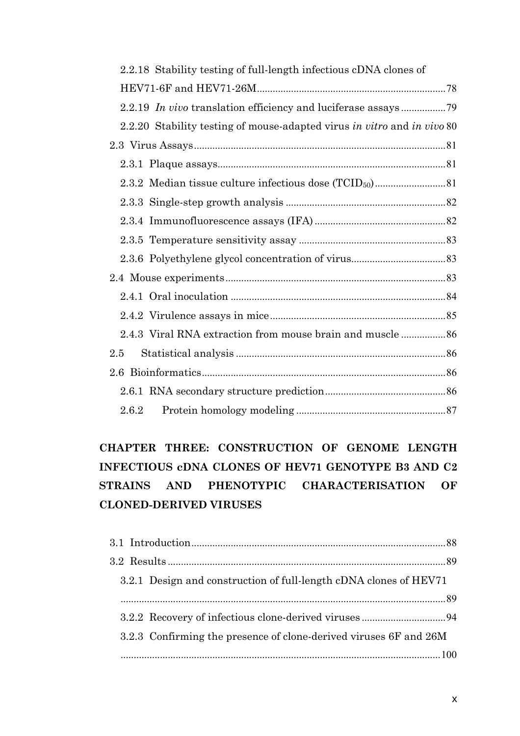| 2.2.18 Stability testing of full-length infectious cDNA clones of       |  |
|-------------------------------------------------------------------------|--|
|                                                                         |  |
|                                                                         |  |
| 2.2.20 Stability testing of mouse-adapted virus in vitro and in vivo 80 |  |
|                                                                         |  |
|                                                                         |  |
|                                                                         |  |
|                                                                         |  |
|                                                                         |  |
|                                                                         |  |
|                                                                         |  |
|                                                                         |  |
|                                                                         |  |
|                                                                         |  |
|                                                                         |  |
| 2.5                                                                     |  |
|                                                                         |  |
|                                                                         |  |
| 2.6.2                                                                   |  |

# **CHAPTER THREE: CONSTRUCTION OF GENOME LENGTH INFECTIOUS cDNA CLONES OF HEV71 GENOTYPE B3 AND C2 STRAINS AND PHENOTYPIC CHARACTERISATION OF CLONED-DERIVED VIRUSES**

| 3.2.1 Design and construction of full-length cDNA clones of HEV71 |  |
|-------------------------------------------------------------------|--|
|                                                                   |  |
|                                                                   |  |
| 3.2.3 Confirming the presence of clone-derived viruses 6F and 26M |  |
|                                                                   |  |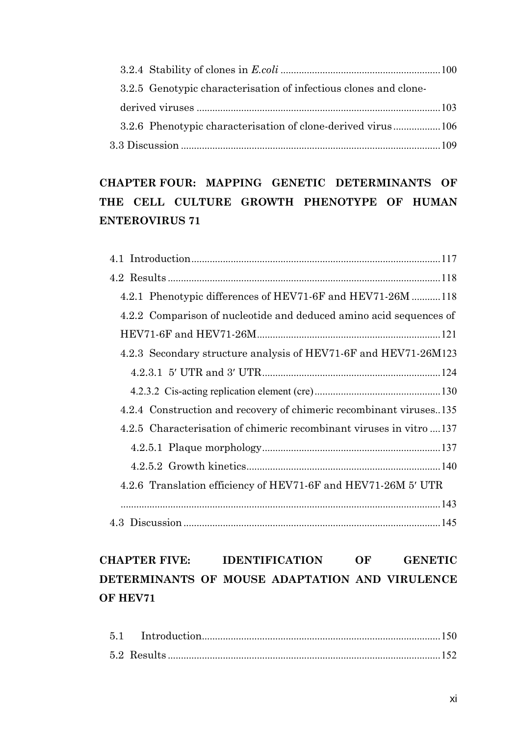| 3.2.5 Genotypic characterisation of infectious clones and clone- |  |
|------------------------------------------------------------------|--|
|                                                                  |  |
| 3.2.6 Phenotypic characterisation of clone-derived virus106      |  |
|                                                                  |  |

# **CHAPTER FOUR: MAPPING GENETIC DETERMINANTS OF THE CELL CULTURE GROWTH PHENOTYPE OF HUMAN ENTEROVIRUS 71**

| 4.2.1 Phenotypic differences of HEV71-6F and HEV71-26M 118           |
|----------------------------------------------------------------------|
| 4.2.2 Comparison of nucleotide and deduced amino acid sequences of   |
|                                                                      |
| 4.2.3 Secondary structure analysis of HEV71-6F and HEV71-26M123      |
|                                                                      |
|                                                                      |
| 4.2.4 Construction and recovery of chimeric recombinant viruses135   |
| 4.2.5 Characterisation of chimeric recombinant viruses in vitro  137 |
|                                                                      |
|                                                                      |
| 4.2.6 Translation efficiency of HEV71-6F and HEV71-26M 5' UTR        |
|                                                                      |
|                                                                      |

# **CHAPTER FIVE: IDENTIFICATION OF GENETIC DETERMINANTS OF MOUSE ADAPTATION AND VIRULENCE OF HEV71**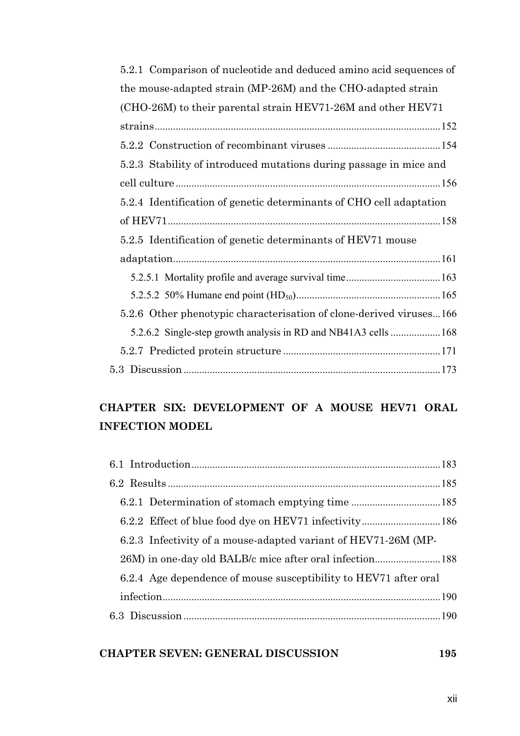| 5.2.1 Comparison of nucleotide and deduced amino acid sequences of  |
|---------------------------------------------------------------------|
| the mouse-adapted strain (MP-26M) and the CHO-adapted strain        |
| (CHO-26M) to their parental strain HEV71-26M and other HEV71        |
|                                                                     |
|                                                                     |
| 5.2.3 Stability of introduced mutations during passage in mice and  |
|                                                                     |
| 5.2.4 Identification of genetic determinants of CHO cell adaptation |
|                                                                     |
| 5.2.5 Identification of genetic determinants of HEV71 mouse         |
|                                                                     |
|                                                                     |
|                                                                     |
| 5.2.6 Other phenotypic characterisation of clone-derived viruses166 |
| 5.2.6.2 Single-step growth analysis in RD and NB41A3 cells 168      |
|                                                                     |
|                                                                     |

## **CHAPTER SIX: DEVELOPMENT OF A MOUSE HEV71 ORAL INFECTION MODEL**

| 6.2.3 Infectivity of a mouse-adapted variant of HEV71-26M (MP-   |  |
|------------------------------------------------------------------|--|
|                                                                  |  |
| 6.2.4 Age dependence of mouse susceptibility to HEV71 after oral |  |
|                                                                  |  |
|                                                                  |  |

## **[CHAPTER SEVEN: GENERAL DISCUSSION 195](#page--1-0)**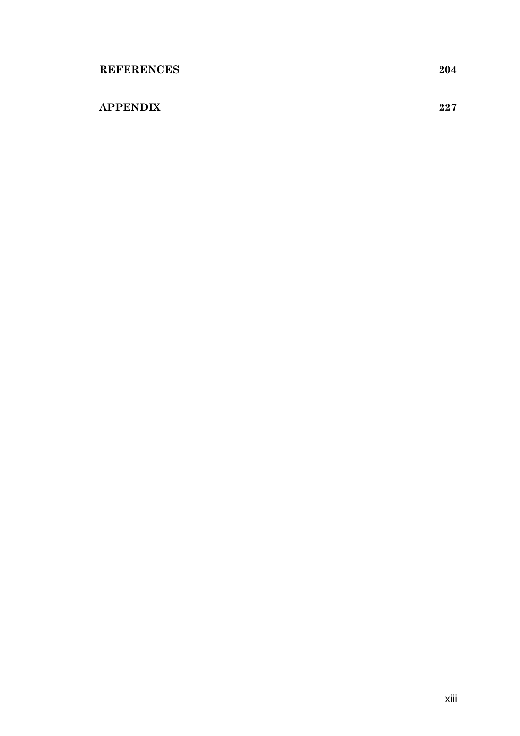## **[APPENDIX 227](#page--1-0)**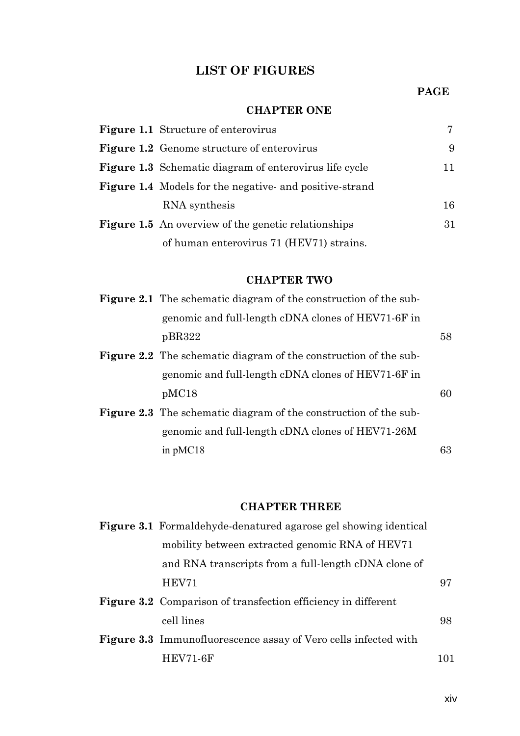## **LIST OF FIGURES**

#### **PAGE**

#### **CHAPTER ONE**

| <b>Figure 1.1</b> Structure of enterovirus                     |    |
|----------------------------------------------------------------|----|
| <b>Figure 1.2</b> Genome structure of enterovirus              | 9  |
| <b>Figure 1.3</b> Schematic diagram of enterovirus life cycle  | 11 |
| <b>Figure 1.4</b> Models for the negative- and positive-strand |    |
| RNA synthesis                                                  | 16 |
| <b>Figure 1.5</b> An overview of the genetic relationships     | 31 |
| of human enterovirus 71 (HEV71) strains.                       |    |

#### **CHAPTER TWO**

| <b>Figure 2.1</b> The schematic diagram of the construction of the sub- |    |
|-------------------------------------------------------------------------|----|
| genomic and full-length cDNA clones of HEV71-6F in                      |    |
| pBR322                                                                  | 58 |
| <b>Figure 2.2</b> The schematic diagram of the construction of the sub- |    |
| genomic and full-length cDNA clones of HEV71-6F in                      |    |
| pMC18                                                                   | 60 |
| <b>Figure 2.3</b> The schematic diagram of the construction of the sub- |    |
| genomic and full-length cDNA clones of HEV71-26M                        |    |
| in $pMC18$                                                              | 63 |

#### **CHAPTER THREE**

| <b>Figure 3.1</b> Formaldehyde-denatured agarose gel showing identical |    |
|------------------------------------------------------------------------|----|
| mobility between extracted genomic RNA of HEV71                        |    |
| and RNA transcripts from a full-length cDNA clone of                   |    |
| HEV71                                                                  | 97 |
| <b>Figure 3.2</b> Comparison of transfection efficiency in different   |    |
| cell lines                                                             | 98 |
| <b>Figure 3.3</b> Immunofluorescence assay of Vero cells infected with |    |
| <b>HEV71-6F</b>                                                        |    |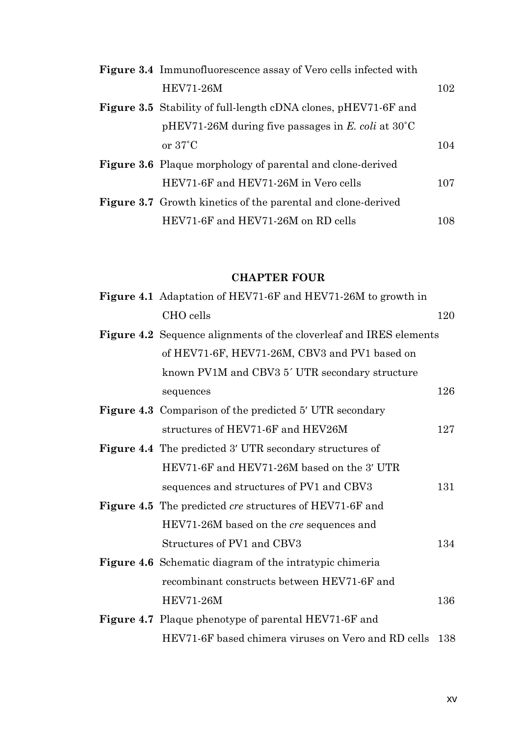| <b>Figure 3.4</b> Immunofluorescence assay of Vero cells infected with |      |
|------------------------------------------------------------------------|------|
| <b>HEV71-26M</b>                                                       | 102  |
| <b>Figure 3.5</b> Stability of full-length cDNA clones, pHEV71-6F and  |      |
| pHEV71-26M during five passages in E. coli at $30^{\circ}$ C           |      |
| or $37^{\circ}$ C                                                      | 104  |
| <b>Figure 3.6</b> Plaque morphology of parental and clone-derived      |      |
| HEV71-6F and HEV71-26M in Vero cells                                   | 107  |
| <b>Figure 3.7</b> Growth kinetics of the parental and clone-derived    |      |
| HEV71-6F and HEV71-26M on RD cells                                     | 108. |

### **CHAPTER FOUR**

| <b>Figure 4.1</b> Adaptation of HEV71-6F and HEV71-26M to growth in       |     |
|---------------------------------------------------------------------------|-----|
| CHO cells                                                                 | 120 |
| <b>Figure 4.2</b> Sequence alignments of the cloverleaf and IRES elements |     |
| of HEV71-6F, HEV71-26M, CBV3 and PV1 based on                             |     |
| known PV1M and CBV3 5' UTR secondary structure                            |     |
| sequences                                                                 | 126 |
| <b>Figure 4.3</b> Comparison of the predicted 5' UTR secondary            |     |
| structures of HEV71-6F and HEV26M                                         | 127 |
| <b>Figure 4.4</b> The predicted 3' UTR secondary structures of            |     |
| HEV71-6F and HEV71-26M based on the 3' UTR                                |     |
| sequences and structures of PV1 and CBV3                                  | 131 |
| <b>Figure 4.5</b> The predicted cre structures of HEV71-6F and            |     |
| HEV71-26M based on the <i>cre</i> sequences and                           |     |
| Structures of PV1 and CBV3                                                | 134 |
| <b>Figure 4.6</b> Schematic diagram of the intratypic chimeria            |     |
| recombinant constructs between HEV71-6F and                               |     |
| <b>HEV71-26M</b>                                                          | 136 |
| <b>Figure 4.7</b> Plaque phenotype of parental HEV71-6F and               |     |
| HEV71-6F based chimera viruses on Vero and RD cells                       | 138 |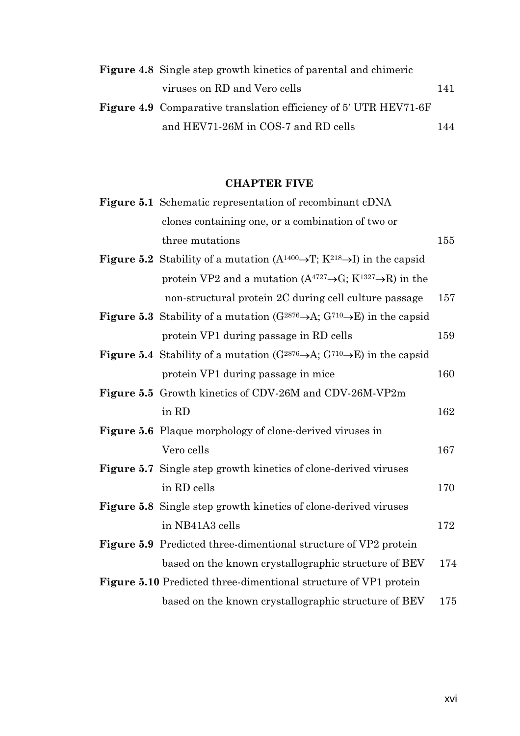| <b>Figure 4.8</b> Single step growth kinetics of parental and chimeric  |     |
|-------------------------------------------------------------------------|-----|
| viruses on RD and Vero cells                                            | 141 |
| <b>Figure 4.9</b> Comparative translation efficiency of 5' UTR HEV71-6F |     |
| and HEV71-26M in COS-7 and RD cells                                     | 144 |

#### **CHAPTER FIVE**

| Figure 5.1 Schematic representation of recombinant cDNA                                                        |     |
|----------------------------------------------------------------------------------------------------------------|-----|
| clones containing one, or a combination of two or                                                              |     |
| three mutations                                                                                                | 155 |
| <b>Figure 5.2</b> Stability of a mutation $(A^{1400} \rightarrow T; K^{218} \rightarrow I)$ in the capsid      |     |
| protein VP2 and a mutation $(A^{4727} \rightarrow G; K^{1327} \rightarrow R)$ in the                           |     |
| non-structural protein 2C during cell culture passage                                                          | 157 |
| <b>Figure 5.3</b> Stability of a mutation ( $G^{2876} \rightarrow A$ ; $G^{710} \rightarrow E$ ) in the capsid |     |
| protein VP1 during passage in RD cells                                                                         | 159 |
| <b>Figure 5.4</b> Stability of a mutation ( $G^{2876} \rightarrow A$ ; $G^{710} \rightarrow E$ ) in the capsid |     |
| protein VP1 during passage in mice                                                                             | 160 |
| <b>Figure 5.5</b> Growth kinetics of CDV-26M and CDV-26M-VP2m                                                  |     |
| in RD                                                                                                          | 162 |
| <b>Figure 5.6</b> Plaque morphology of clone-derived viruses in                                                |     |
| Vero cells                                                                                                     | 167 |
| <b>Figure 5.7</b> Single step growth kinetics of clone-derived viruses                                         |     |
| in RD cells                                                                                                    | 170 |
| Figure 5.8 Single step growth kinetics of clone-derived viruses                                                |     |
| in NB41A3 cells                                                                                                | 172 |
| <b>Figure 5.9</b> Predicted three-dimentional structure of VP2 protein                                         |     |
| based on the known crystallographic structure of BEV                                                           | 174 |
| <b>Figure 5.10</b> Predicted three-dimentional structure of VP1 protein                                        |     |
| based on the known crystallographic structure of BEV                                                           | 175 |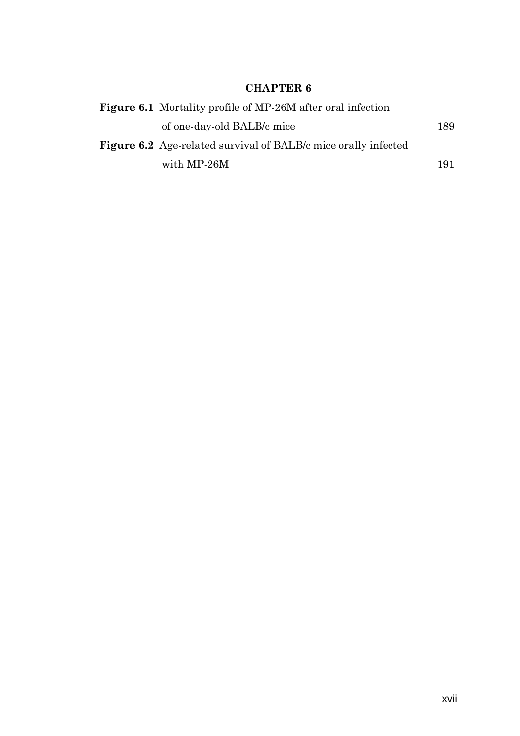## **CHAPTER 6**

| <b>Figure 6.1</b> Mortality profile of MP-26M after oral infection    |     |
|-----------------------------------------------------------------------|-----|
| of one-day-old BALB/c mice                                            | 189 |
| <b>Figure 6.2</b> Age-related survival of BALB/c mice orally infected |     |
| with MP-26M                                                           | 191 |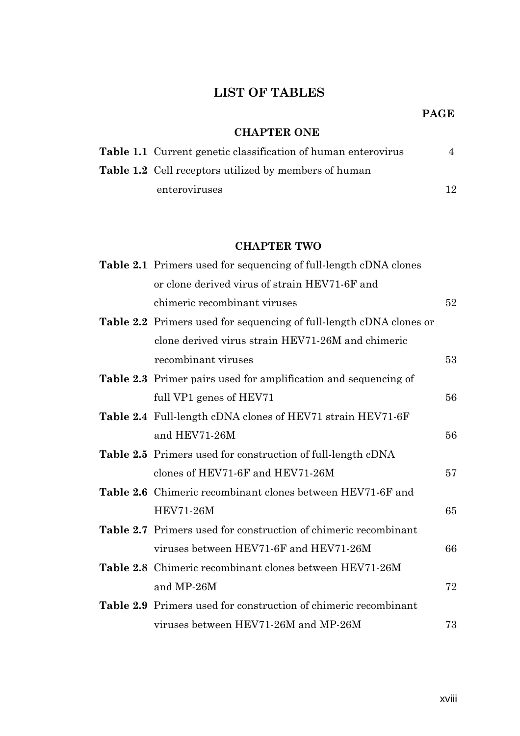## **LIST OF TABLES**

#### **PAGE**

### **CHAPTER ONE**

| <b>Table 1.1</b> Current genetic classification of human enterovirus |    |
|----------------------------------------------------------------------|----|
| <b>Table 1.2</b> Cell receptors utilized by members of human         |    |
| enteroviruses                                                        | 12 |

#### **CHAPTER TWO**

| Table 2.1 Primers used for sequencing of full-length cDNA clones           |    |
|----------------------------------------------------------------------------|----|
| or clone derived virus of strain HEV71-6F and                              |    |
| chimeric recombinant viruses                                               | 52 |
| <b>Table 2.2</b> Primers used for sequencing of full-length cDNA clones or |    |
| clone derived virus strain HEV71-26M and chimeric                          |    |
| recombinant viruses                                                        | 53 |
| <b>Table 2.3</b> Primer pairs used for amplification and sequencing of     |    |
| full VP1 genes of HEV71                                                    | 56 |
| <b>Table 2.4</b> Full-length cDNA clones of HEV71 strain HEV71-6F          |    |
| and HEV71-26M                                                              | 56 |
| <b>Table 2.5</b> Primers used for construction of full-length cDNA         |    |
| clones of HEV71-6F and HEV71-26M                                           | 57 |
| <b>Table 2.6</b> Chimeric recombinant clones between HEV71-6F and          |    |
| <b>HEV71-26M</b>                                                           | 65 |
| <b>Table 2.7</b> Primers used for construction of chimeric recombinant     |    |
| viruses between HEV71-6F and HEV71-26M                                     | 66 |
| Table 2.8 Chimeric recombinant clones between HEV71-26M                    |    |
| and MP-26M                                                                 | 72 |
| <b>Table 2.9</b> Primers used for construction of chimeric recombinant     |    |
| viruses between HEV71-26M and MP-26M                                       | 73 |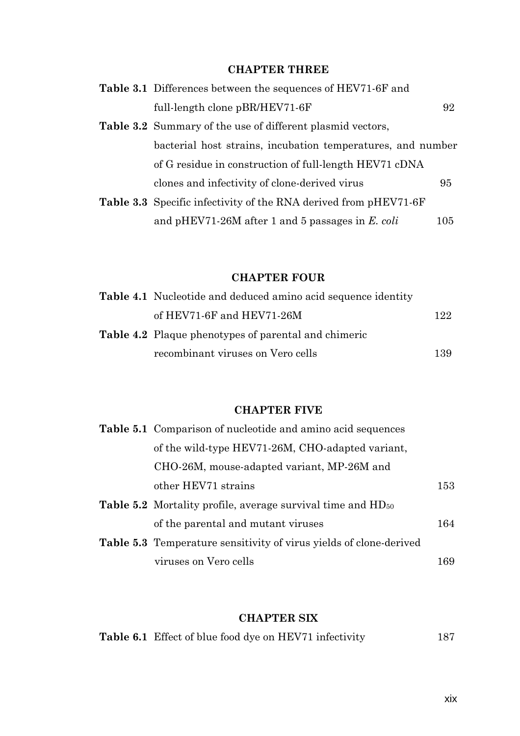### **CHAPTER THREE**

| <b>Table 3.1</b> Differences between the sequences of HEV71-6F and      |     |
|-------------------------------------------------------------------------|-----|
| full-length clone pBR/HEV71-6F                                          | 92  |
| <b>Table 3.2</b> Summary of the use of different plasmid vectors,       |     |
| bacterial host strains, incubation temperatures, and number             |     |
| of G residue in construction of full-length HEV71 cDNA                  |     |
| clones and infectivity of clone-derived virus                           | 95  |
| <b>Table 3.3</b> Specific infectivity of the RNA derived from pHEV71-6F |     |
| and pHEV71-26M after 1 and 5 passages in $E.$ coli                      | 105 |

### **CHAPTER FOUR**

| <b>Table 4.1</b> Nucleotide and deduced amino acid sequence identity |      |
|----------------------------------------------------------------------|------|
| of HEV71-6F and HEV71-26M                                            | 122. |
| <b>Table 4.2</b> Plaque phenotypes of parental and chimeric          |      |
| recombinant viruses on Vero cells                                    | 139  |

## **CHAPTER FIVE**

| <b>Table 5.1</b> Comparison of nucleotide and amino acid sequences        |     |
|---------------------------------------------------------------------------|-----|
| of the wild-type HEV71-26M, CHO-adapted variant,                          |     |
| CHO-26M, mouse-adapted variant, MP-26M and                                |     |
| other HEV71 strains                                                       | 153 |
| <b>Table 5.2</b> Mortality profile, average survival time and $HD_{50}$   |     |
| of the parental and mutant viruses                                        | 164 |
| <b>Table 5.3</b> Temperature sensitivity of virus yields of clone-derived |     |
| viruses on Vero cells                                                     | 169 |

### **CHAPTER SIX**

| <b>Table 6.1</b> Effect of blue food dye on HEV71 infectivity | 187 |
|---------------------------------------------------------------|-----|
|---------------------------------------------------------------|-----|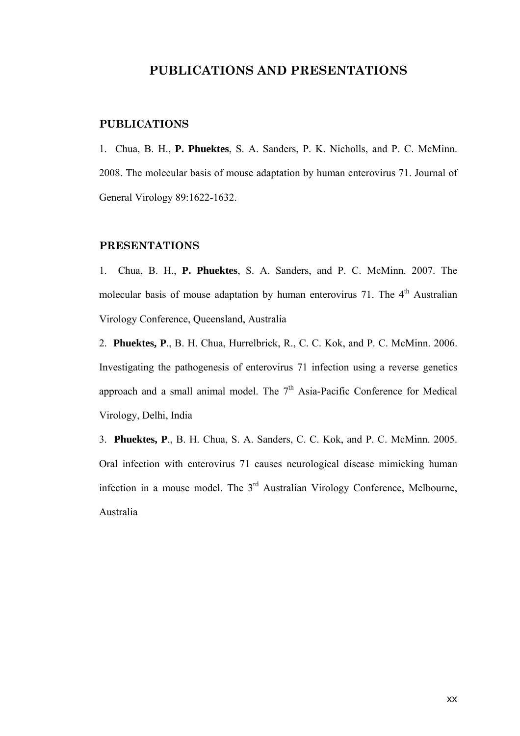#### **PUBLICATIONS AND PRESENTATIONS**

#### **PUBLICATIONS**

1. Chua, B. H., **P. Phuektes**, S. A. Sanders, P. K. Nicholls, and P. C. McMinn. 2008. The molecular basis of mouse adaptation by human enterovirus 71. Journal of General Virology 89:1622-1632.

#### **PRESENTATIONS**

1. Chua, B. H., **P. Phuektes**, S. A. Sanders, and P. C. McMinn. 2007. The molecular basis of mouse adaptation by human enterovirus 71. The  $4<sup>th</sup>$  Australian Virology Conference, Queensland, Australia

2. **Phuektes, P**., B. H. Chua, Hurrelbrick, R., C. C. Kok, and P. C. McMinn. 2006. Investigating the pathogenesis of enterovirus 71 infection using a reverse genetics approach and a small animal model. The  $7<sup>th</sup>$  Asia-Pacific Conference for Medical Virology, Delhi, India

3. **Phuektes, P**., B. H. Chua, S. A. Sanders, C. C. Kok, and P. C. McMinn. 2005. Oral infection with enterovirus 71 causes neurological disease mimicking human infection in a mouse model. The 3<sup>rd</sup> Australian Virology Conference, Melbourne, Australia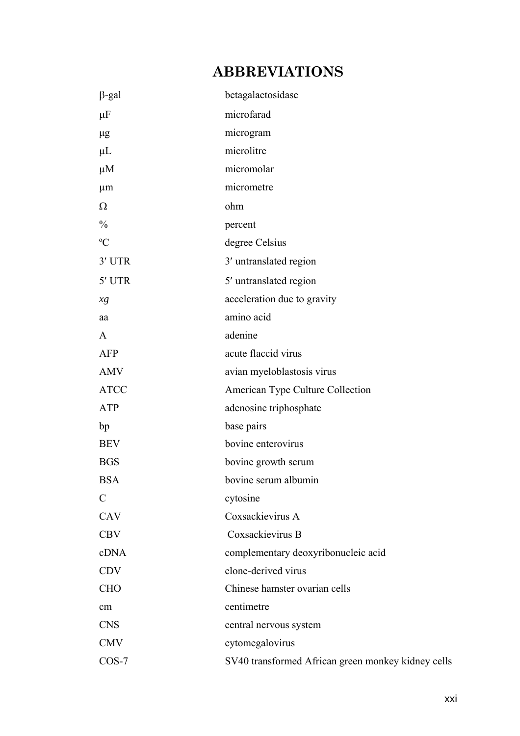# **ABBREVIATIONS**

| $\beta$ -gal  | betagalactosidase                                  |
|---------------|----------------------------------------------------|
| $\mu$ F       | microfarad                                         |
| $\mu$ g       | microgram                                          |
| $\mu$ L       | microlitre                                         |
| $\mu$ M       | micromolar                                         |
| $\mu$ m       | micrometre                                         |
| $\Omega$      | ohm                                                |
| $\frac{0}{0}$ | percent                                            |
| $\rm ^{o}C$   | degree Celsius                                     |
| 3' UTR        | 3' untranslated region                             |
| 5' UTR        | 5' untranslated region                             |
| xg            | acceleration due to gravity                        |
| aa            | amino acid                                         |
| $\mathbf{A}$  | adenine                                            |
| <b>AFP</b>    | acute flaccid virus                                |
| <b>AMV</b>    | avian myeloblastosis virus                         |
| <b>ATCC</b>   | American Type Culture Collection                   |
| <b>ATP</b>    | adenosine triphosphate                             |
| bp            | base pairs                                         |
| <b>BEV</b>    | bovine enterovirus                                 |
| <b>BGS</b>    | bovine growth serum                                |
| <b>BSA</b>    | bovine serum albumin                               |
| $\mathcal{C}$ | cytosine                                           |
| CAV           | Coxsackievirus A                                   |
| <b>CBV</b>    | Coxsackievirus B                                   |
| cDNA          | complementary deoxyribonucleic acid                |
| <b>CDV</b>    | clone-derived virus                                |
| <b>CHO</b>    | Chinese hamster ovarian cells                      |
| cm            | centimetre                                         |
| <b>CNS</b>    | central nervous system                             |
| <b>CMV</b>    | cytomegalovirus                                    |
| $COS-7$       | SV40 transformed African green monkey kidney cells |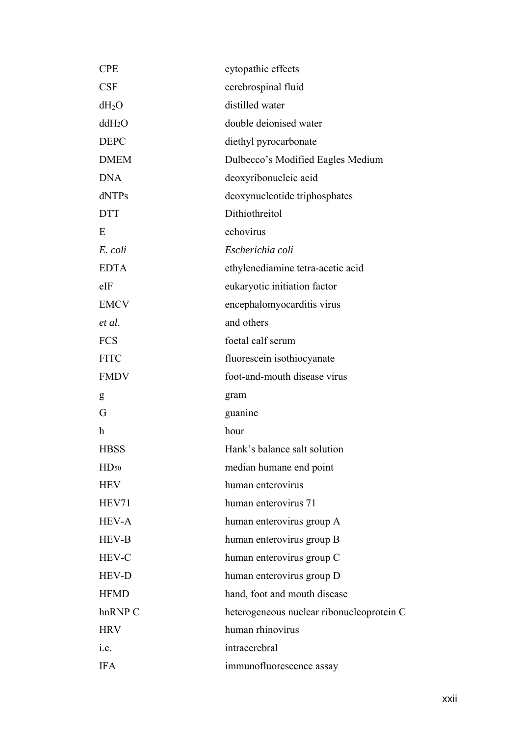| <b>CPE</b>         | cytopathic effects                        |
|--------------------|-------------------------------------------|
| <b>CSF</b>         | cerebrospinal fluid                       |
| $dH_2O$            | distilled water                           |
| ddH <sub>2</sub> O | double deionised water                    |
| <b>DEPC</b>        | diethyl pyrocarbonate                     |
| <b>DMEM</b>        | Dulbecco's Modified Eagles Medium         |
| <b>DNA</b>         | deoxyribonucleic acid                     |
| dNTPs              | deoxynucleotide triphosphates             |
| <b>DTT</b>         | Dithiothreitol                            |
| E                  | echovirus                                 |
| E. coli            | Escherichia coli                          |
| <b>EDTA</b>        | ethylenediamine tetra-acetic acid         |
| $e$ IF             | eukaryotic initiation factor              |
| <b>EMCV</b>        | encephalomyocarditis virus                |
| et al.             | and others                                |
| <b>FCS</b>         | foetal calf serum                         |
| <b>FITC</b>        | fluorescein isothiocyanate                |
| <b>FMDV</b>        | foot-and-mouth disease virus              |
| g                  | gram                                      |
| G                  | guanine                                   |
| h                  | hour                                      |
| <b>HBSS</b>        | Hank's balance salt solution              |
| HD <sub>50</sub>   | median humane end point                   |
| <b>HEV</b>         | human enterovirus                         |
| HEV71              | human enterovirus 71                      |
| <b>HEV-A</b>       | human enterovirus group A                 |
| <b>HEV-B</b>       | human enterovirus group B                 |
| <b>HEV-C</b>       | human enterovirus group C                 |
| <b>HEV-D</b>       | human enterovirus group D                 |
| <b>HFMD</b>        | hand, foot and mouth disease              |
| hnRNP C            | heterogeneous nuclear ribonucleoprotein C |
| <b>HRV</b>         | human rhinovirus                          |
| i.c.               | intracerebral                             |
| <b>IFA</b>         | immunofluorescence assay                  |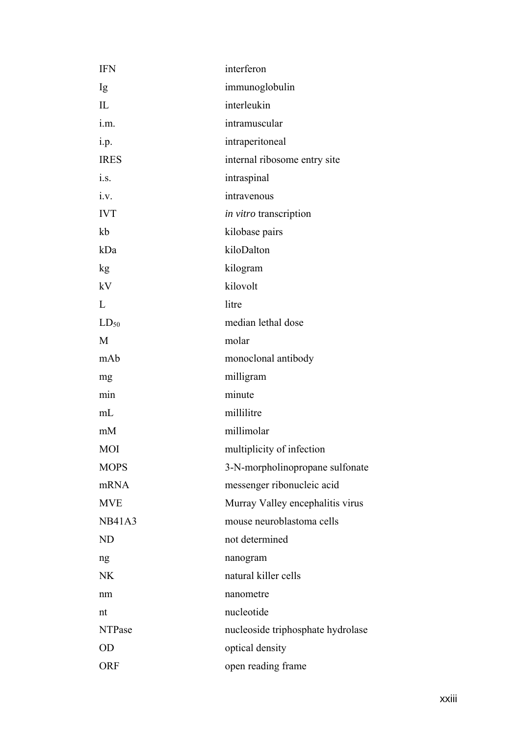| <b>IFN</b>    | interferon                        |
|---------------|-----------------------------------|
| Ig            | immunoglobulin                    |
| IL            | interleukin                       |
| i.m.          | intramuscular                     |
| i.p.          | intraperitoneal                   |
| <b>IRES</b>   | internal ribosome entry site      |
| i.s.          | intraspinal                       |
| i.v.          | intravenous                       |
| <b>IVT</b>    | <i>in vitro</i> transcription     |
| kb            | kilobase pairs                    |
| kDa           | kiloDalton                        |
| kg            | kilogram                          |
| kV            | kilovolt                          |
| L             | litre                             |
| $LD_{50}$     | median lethal dose                |
| M             | molar                             |
| mAb           | monoclonal antibody               |
| mg            | milligram                         |
| min           | minute                            |
| mL            | millilitre                        |
| mM            | millimolar                        |
| MOI           | multiplicity of infection         |
| <b>MOPS</b>   | 3-N-morpholinopropane sulfonate   |
| mRNA          | messenger ribonucleic acid        |
| <b>MVE</b>    | Murray Valley encephalitis virus  |
| <b>NB41A3</b> | mouse neuroblastoma cells         |
| <b>ND</b>     | not determined                    |
| ng            | nanogram                          |
| <b>NK</b>     | natural killer cells              |
| nm            | nanometre                         |
| nt            | nucleotide                        |
| <b>NTPase</b> | nucleoside triphosphate hydrolase |
| <b>OD</b>     | optical density                   |
| <b>ORF</b>    | open reading frame                |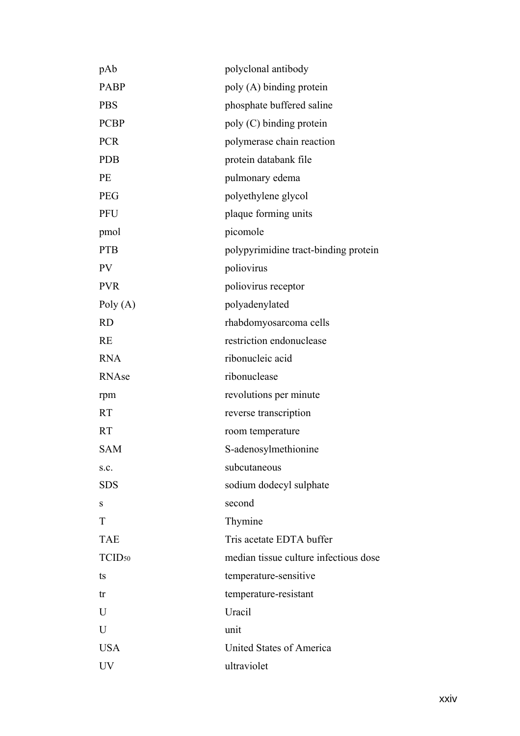| pAb                | polyclonal antibody                   |
|--------------------|---------------------------------------|
| PABP               | poly (A) binding protein              |
| <b>PBS</b>         | phosphate buffered saline             |
| <b>PCBP</b>        | poly (C) binding protein              |
| <b>PCR</b>         | polymerase chain reaction             |
| <b>PDB</b>         | protein databank file                 |
| PE                 | pulmonary edema                       |
| <b>PEG</b>         | polyethylene glycol                   |
| PFU                | plaque forming units                  |
| pmol               | picomole                              |
| <b>PTB</b>         | polypyrimidine tract-binding protein  |
| PV                 | poliovirus                            |
| <b>PVR</b>         | poliovirus receptor                   |
| Poly $(A)$         | polyadenylated                        |
| <b>RD</b>          | rhabdomyosarcoma cells                |
| <b>RE</b>          | restriction endonuclease              |
| <b>RNA</b>         | ribonucleic acid                      |
| RNAse              | ribonuclease                          |
| rpm                | revolutions per minute                |
| <b>RT</b>          | reverse transcription                 |
| <b>RT</b>          | room temperature                      |
| <b>SAM</b>         | S-adenosylmethionine                  |
| S.C.               | subcutaneous                          |
| <b>SDS</b>         | sodium dodecyl sulphate               |
| S                  | second                                |
| T                  | Thymine                               |
| <b>TAE</b>         | Tris acetate EDTA buffer              |
| TCID <sub>50</sub> | median tissue culture infectious dose |
| ts                 | temperature-sensitive                 |
| tr                 | temperature-resistant                 |
| U                  | Uracil                                |
| $\overline{U}$     | unit                                  |
| <b>USA</b>         | United States of America              |
| UV                 | ultraviolet                           |